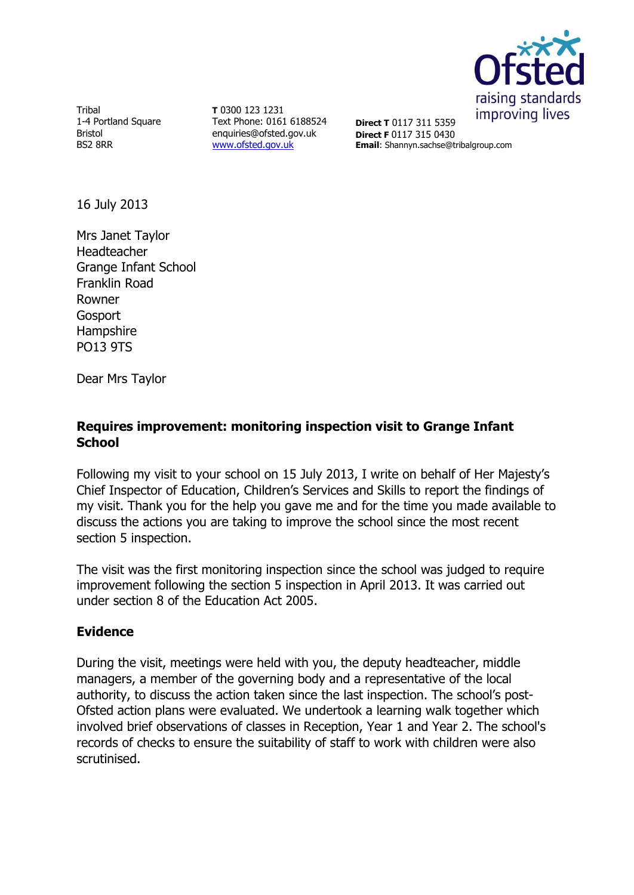

Tribal 1-4 Portland Square Bristol BS2 8RR

**T** 0300 123 1231 Text Phone: 0161 6188524 enquiries@ofsted.gov.uk [www.ofsted.gov.uk](http://www.ofsted.gov.uk/)

**Direct T** 0117 311 5359 **Direct F** 0117 315 0430 **Email**: Shannyn.sachse@tribalgroup.com

16 July 2013

Mrs Janet Taylor Headteacher Grange Infant School Franklin Road Rowner **Gosport** Hampshire PO13 9TS

Dear Mrs Taylor

### **Requires improvement: monitoring inspection visit to Grange Infant School**

Following my visit to your school on 15 July 2013, I write on behalf of Her Majesty's Chief Inspector of Education, Children's Services and Skills to report the findings of my visit. Thank you for the help you gave me and for the time you made available to discuss the actions you are taking to improve the school since the most recent section 5 inspection.

The visit was the first monitoring inspection since the school was judged to require improvement following the section 5 inspection in April 2013. It was carried out under section 8 of the Education Act 2005.

# **Evidence**

During the visit, meetings were held with you, the deputy headteacher, middle managers, a member of the governing body and a representative of the local authority, to discuss the action taken since the last inspection. The school's post-Ofsted action plans were evaluated. We undertook a learning walk together which involved brief observations of classes in Reception, Year 1 and Year 2. The school's records of checks to ensure the suitability of staff to work with children were also scrutinised.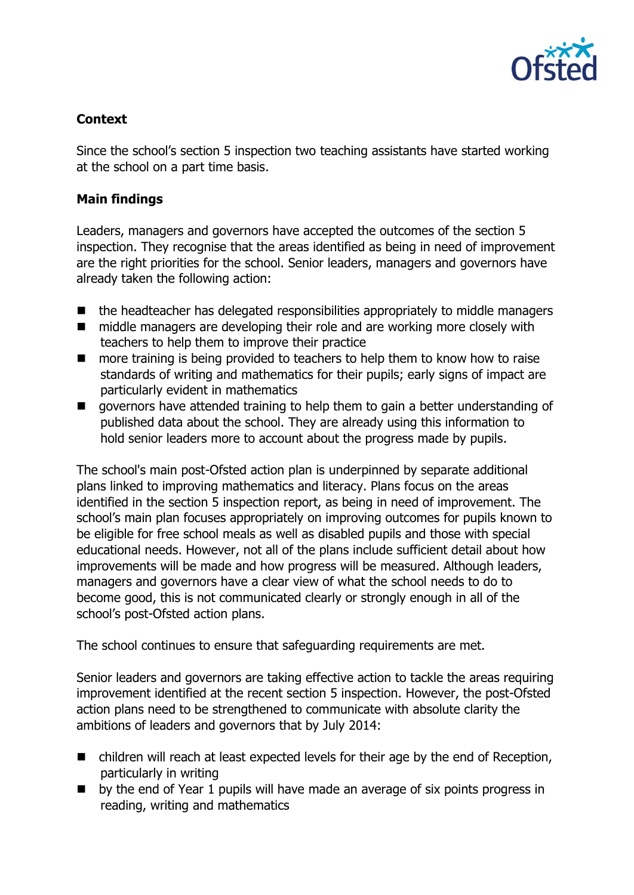

# **Context**

Since the school's section 5 inspection two teaching assistants have started working at the school on a part time basis.

#### **Main findings**

Leaders, managers and governors have accepted the outcomes of the section 5 inspection. They recognise that the areas identified as being in need of improvement are the right priorities for the school. Senior leaders, managers and governors have already taken the following action:

- $\blacksquare$  the headteacher has delegated responsibilities appropriately to middle managers
- middle managers are developing their role and are working more closely with teachers to help them to improve their practice
- more training is being provided to teachers to help them to know how to raise standards of writing and mathematics for their pupils; early signs of impact are particularly evident in mathematics
- **E** governors have attended training to help them to gain a better understanding of published data about the school. They are already using this information to hold senior leaders more to account about the progress made by pupils.

The school's main post-Ofsted action plan is underpinned by separate additional plans linked to improving mathematics and literacy. Plans focus on the areas identified in the section 5 inspection report, as being in need of improvement. The school's main plan focuses appropriately on improving outcomes for pupils known to be eligible for free school meals as well as disabled pupils and those with special educational needs. However, not all of the plans include sufficient detail about how improvements will be made and how progress will be measured. Although leaders, managers and governors have a clear view of what the school needs to do to become good, this is not communicated clearly or strongly enough in all of the school's post-Ofsted action plans.

The school continues to ensure that safeguarding requirements are met.

Senior leaders and governors are taking effective action to tackle the areas requiring improvement identified at the recent section 5 inspection. However, the post-Ofsted action plans need to be strengthened to communicate with absolute clarity the ambitions of leaders and governors that by July 2014:

- children will reach at least expected levels for their age by the end of Reception, particularly in writing
- $\blacksquare$  by the end of Year 1 pupils will have made an average of six points progress in reading, writing and mathematics